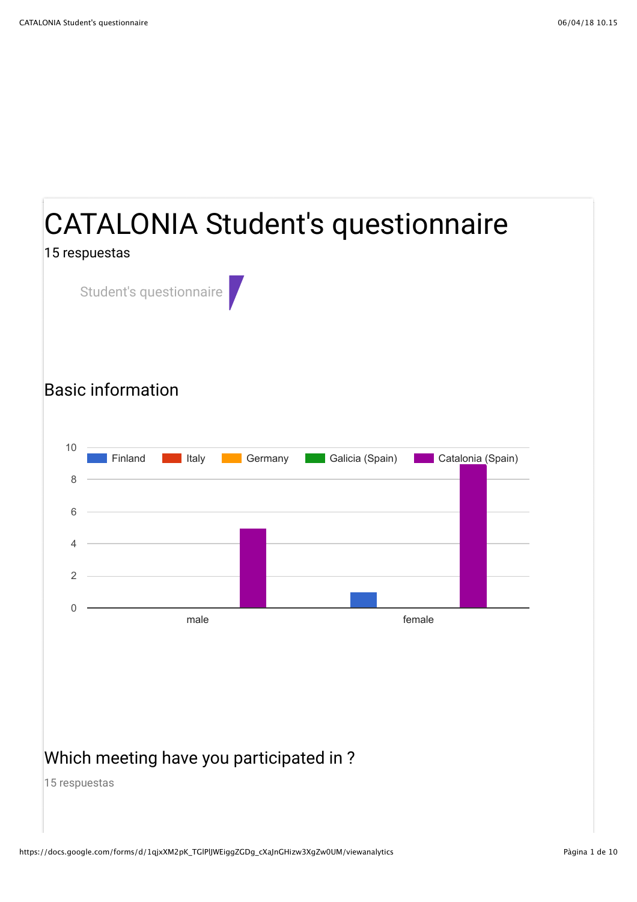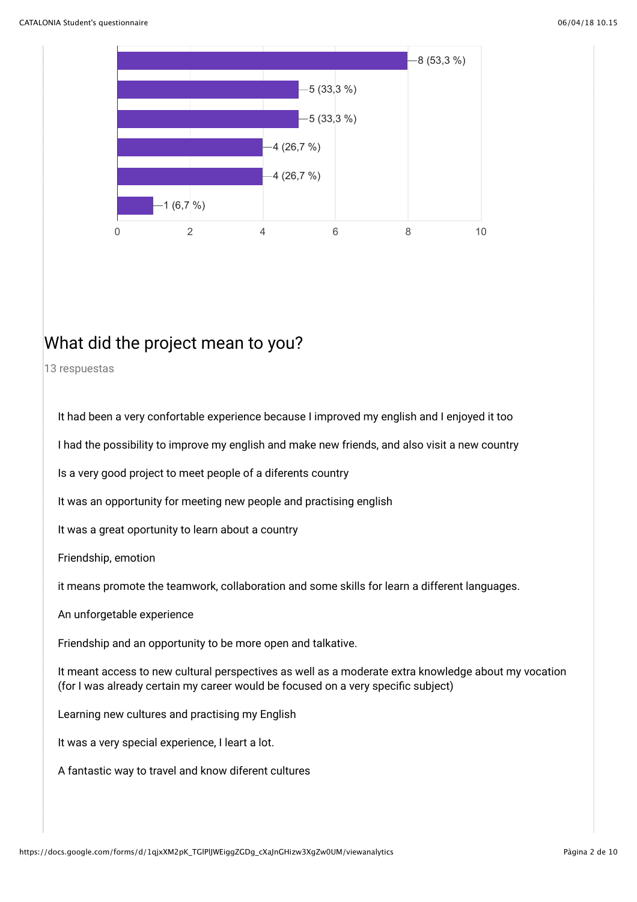

### What did the project mean to you?

13 respuestas

It had been a very confortable experience because I improved my english and I enjoyed it too

I had the possibility to improve my english and make new friends, and also visit a new country

Is a very good project to meet people of a diferents country

It was an opportunity for meeting new people and practising english

It was a great oportunity to learn about a country

Friendship, emotion

it means promote the teamwork, collaboration and some skills for learn a different languages.

An unforgetable experience

Friendship and an opportunity to be more open and talkative.

It meant access to new cultural perspectives as well as a moderate extra knowledge about my vocation (for I was already certain my career would be focused on a very specific subject)

Learning new cultures and practising my English

It was a very special experience, I leart a lot.

A fantastic way to travel and know diferent cultures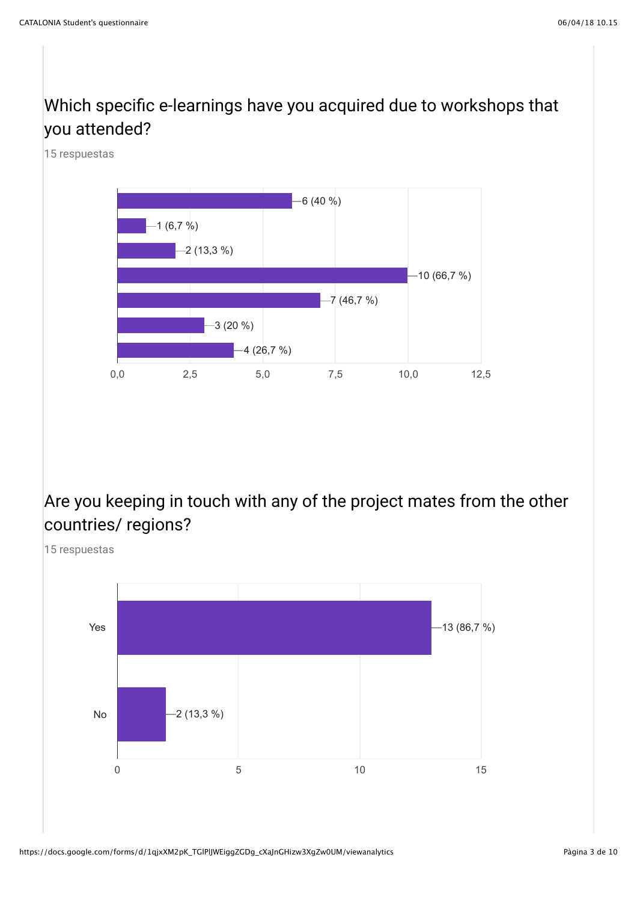### Which specific e-learnings have you acquired due to workshops that you attended?

15 respuestas



### Are you keeping in touch with any of the project mates from the other countries/ regions?

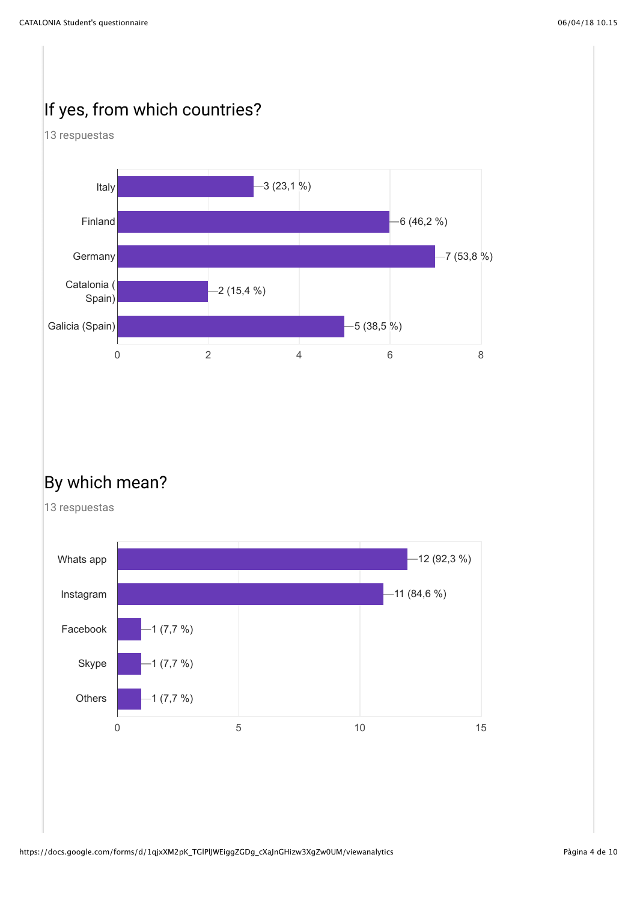## If yes, from which countries?





### By which mean?

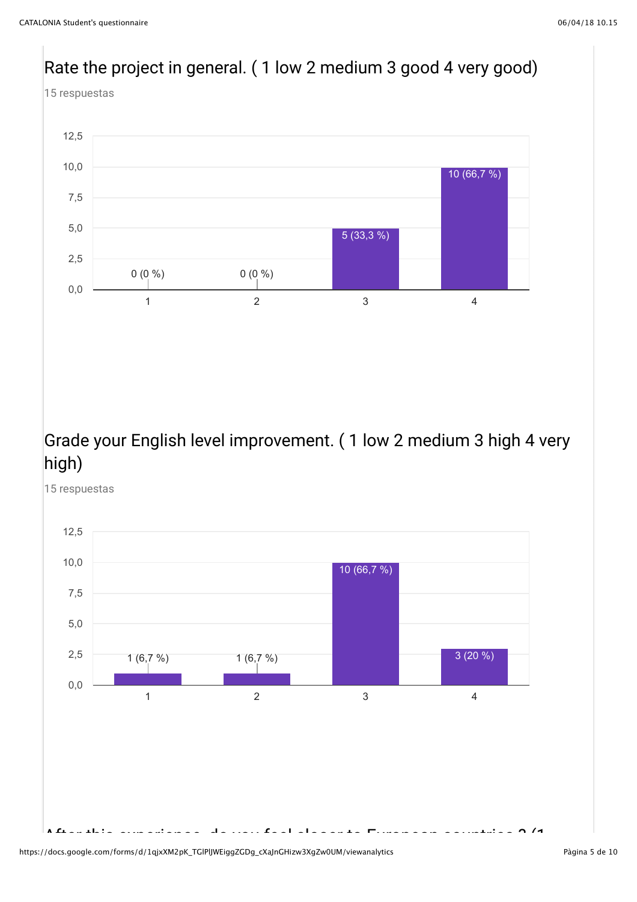





After the this experience, do you feel countries  $\mathcal{A}$ 

15 respuestas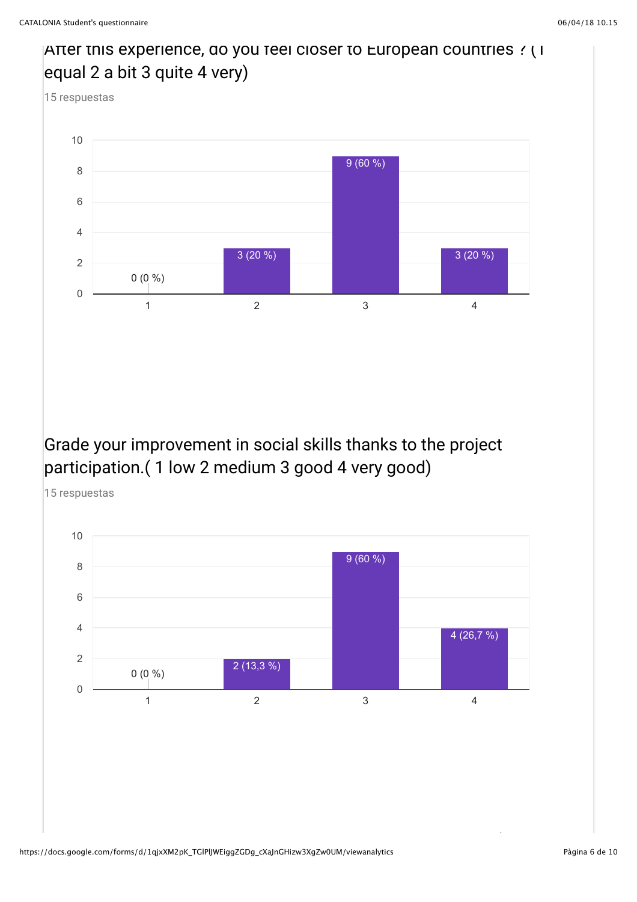### After this experience, do you feel closer to European countries ? (1 equal 2 a bit 3 quite 4 very) 15 respuestas



### Grade your improvement in social skills thanks to the project participation.( 1 low 2 medium 3 good 4 very good)



https://docs.google.com/forms/d/1qjxXM2pK\_TGIPlJWEiggZGDg\_cXaJnGHizw3XgZw0UM/viewanalytics<br>https://docs.google.com/forms/d/1qjxXM2pK\_TGIPlJWEiggZGDg\_cXaJnGHizw3XgZw0UM/viewanalytics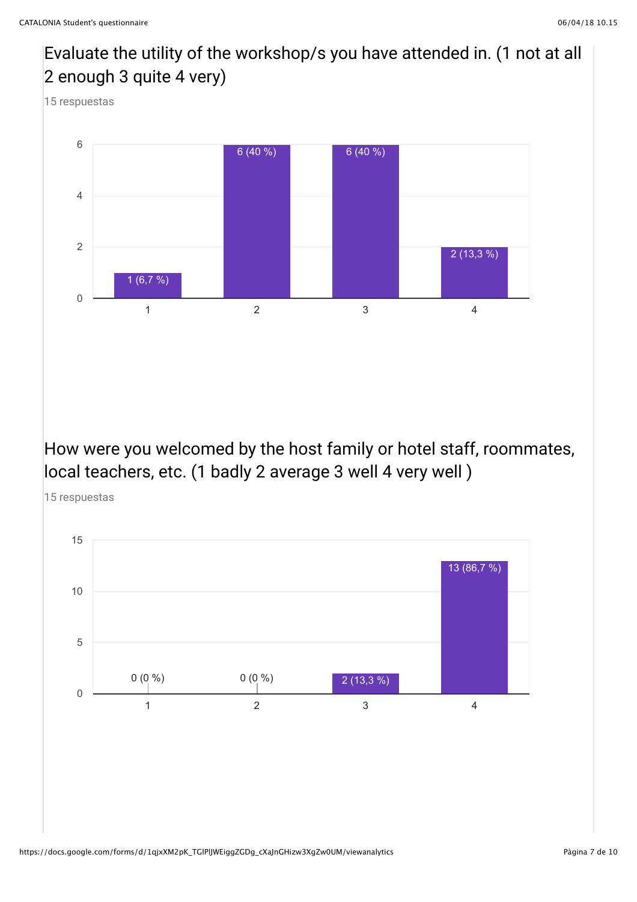# Evaluate the utility of the workshop/s you have attended in. (1 not at all 2 enough 3 quite 4 very) 15 respuestas How were you welcomed by the host family or hotel staff, roommates, local teachers, etc. (1 badly 2 average 3 well 4 very well) 15 respuestas 1  $2$  3  $4$ 0 2 4 6 1 (6,7 %)  $6 (40 \%)$  6 (40 %) 2 (13,3 %)



#### https://docs.google.com/forms/d/1qjxXM2pK\_TGlPlJWEiggZGDg\_cXaJnGHizw3XgZw0UM/viewanalytics Pagina 7 de 10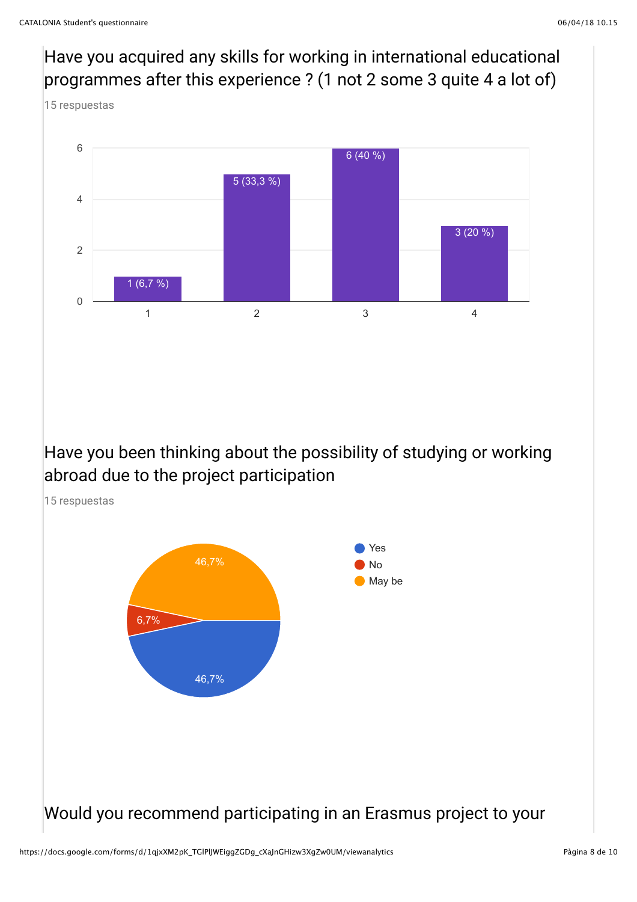Have you acquired any skills for working in international educational programmes after this experience ? (1 not 2 some 3 quite 4 a lot of) 15 respuestas



Have you been thinking about the possibility of studying or working abroad due to the project participation

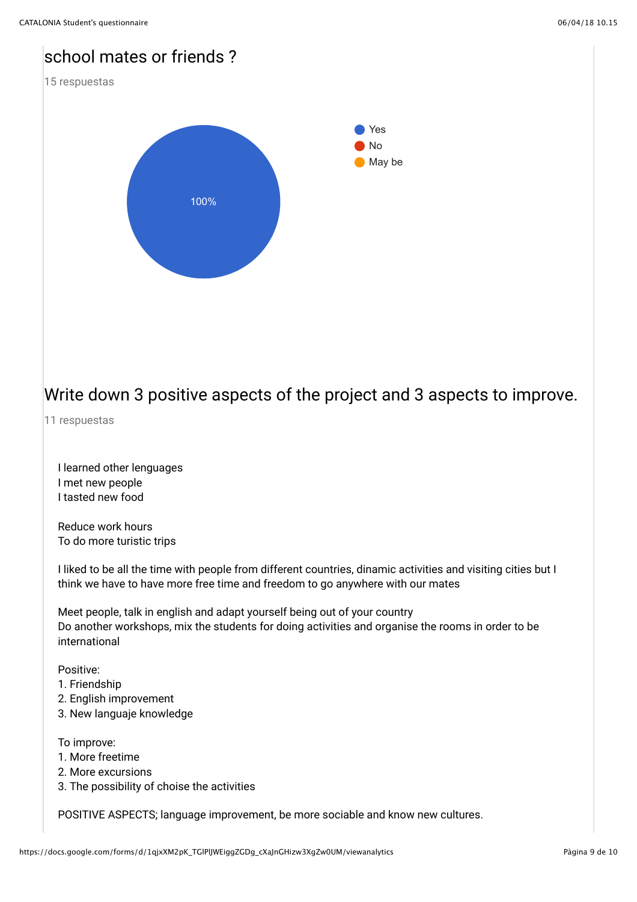# CATALONIA Student's questionnaire 06/04/18 10.15 school mates or friends ? 15 respuestas Yes No May be 100%

### Write down 3 positive aspects of the project and 3 aspects to improve.

11 respuestas

I learned other lenguages I met new people I tasted new food

Reduce work hours To do more turistic trips

I liked to be all the time with people from different countries, dinamic activities and visiting cities but I think we have to have more free time and freedom to go anywhere with our mates

Meet people, talk in english and adapt yourself being out of your country Do another workshops, mix the students for doing activities and organise the rooms in order to be international

### Positive:

- 1. Friendship
- 2. English improvement
- 3. New languaje knowledge

#### To improve:

- 1. More freetime
- 2. More excursions
- 3. The possibility of choise the activities

POSITIVE ASPECTS; language improvement, be more sociable and know new cultures.